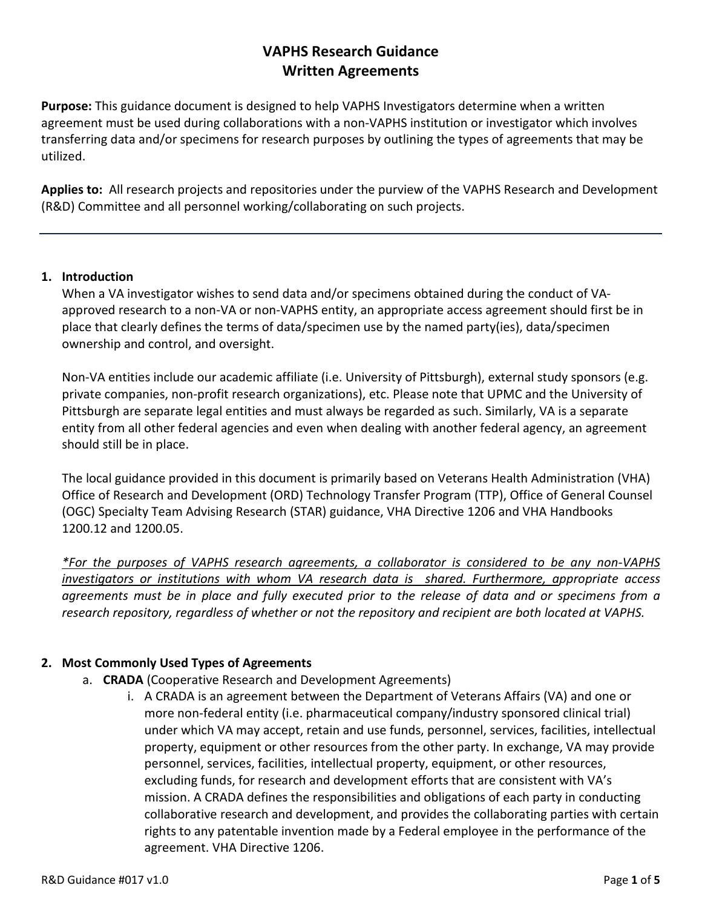## **VAPHS Research Guidance Written Agreements**

**Purpose:** This guidance document is designed to help VAPHS Investigators determine when a written agreement must be used during collaborations with a non-VAPHS institution or investigator which involves transferring data and/or specimens for research purposes by outlining the types of agreements that may be utilized.

**Applies to:** All research projects and repositories under the purview of the VAPHS Research and Development (R&D) Committee and all personnel working/collaborating on such projects.

## **1. Introduction**

When a VA investigator wishes to send data and/or specimens obtained during the conduct of VAapproved research to a non-VA or non-VAPHS entity, an appropriate access agreement should first be in place that clearly defines the terms of data/specimen use by the named party(ies), data/specimen ownership and control, and oversight.

Non-VA entities include our academic affiliate (i.e. University of Pittsburgh), external study sponsors (e.g. private companies, non-profit research organizations), etc. Please note that UPMC and the University of Pittsburgh are separate legal entities and must always be regarded as such. Similarly, VA is a separate entity from all other federal agencies and even when dealing with another federal agency, an agreement should still be in place.

The local guidance provided in this document is primarily based on Veterans Health Administration (VHA) Office of Research and Development (ORD) Technology Transfer Program (TTP), Office of General Counsel (OGC) Specialty Team Advising Research (STAR) guidance, VHA Directive 1206 and VHA Handbooks 1200.12 and 1200.05.

*\*For the purposes of VAPHS research agreements, a collaborator is considered to be any non-VAPHS investigators or institutions with whom VA research data is shared. Furthermore, appropriate access agreements must be in place and fully executed prior to the release of data and or specimens from a research repository, regardless of whether or not the repository and recipient are both located at VAPHS.*

## **2. Most Commonly Used Types of Agreements**

- a. **CRADA** (Cooperative Research and Development Agreements)
	- i. A CRADA is an agreement between the Department of Veterans Affairs (VA) and one or more non-federal entity (i.e. pharmaceutical company/industry sponsored clinical trial) under which VA may accept, retain and use funds, personnel, services, facilities, intellectual property, equipment or other resources from the other party. In exchange, VA may provide personnel, services, facilities, intellectual property, equipment, or other resources, excluding funds, for research and development efforts that are consistent with VA's mission. A CRADA defines the responsibilities and obligations of each party in conducting collaborative research and development, and provides the collaborating parties with certain rights to any patentable invention made by a Federal employee in the performance of the agreement. VHA Directive 1206.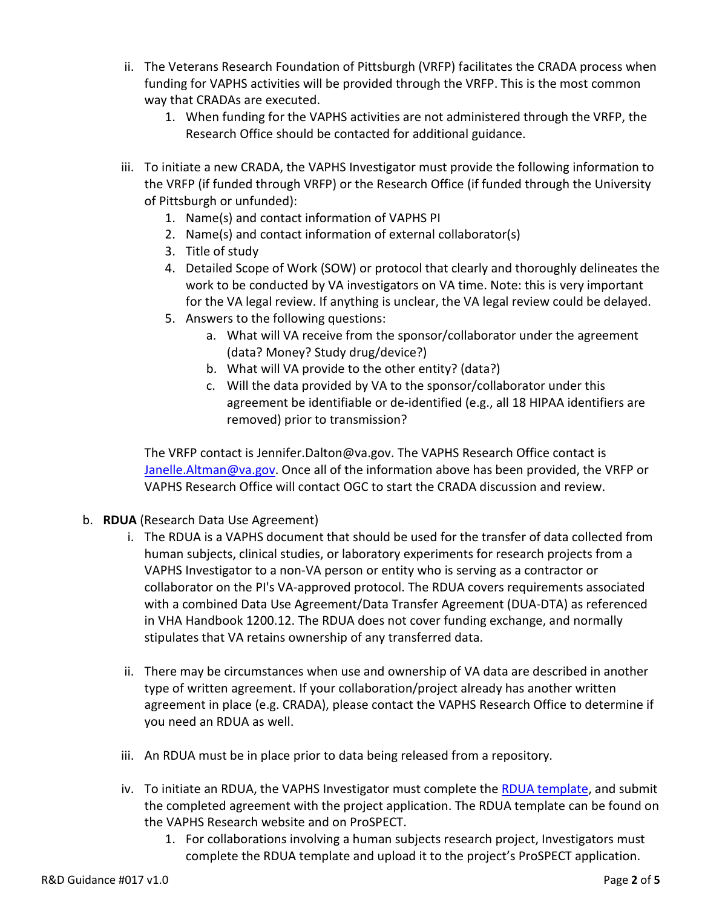- ii. The Veterans Research Foundation of Pittsburgh (VRFP) facilitates the CRADA process when funding for VAPHS activities will be provided through the VRFP. This is the most common way that CRADAs are executed.
	- 1. When funding for the VAPHS activities are not administered through the VRFP, the Research Office should be contacted for additional guidance.
- iii. To initiate a new CRADA, the VAPHS Investigator must provide the following information to the VRFP (if funded through VRFP) or the Research Office (if funded through the University of Pittsburgh or unfunded):
	- 1. Name(s) and contact information of VAPHS PI
	- 2. Name(s) and contact information of external collaborator(s)
	- 3. Title of study
	- 4. Detailed Scope of Work (SOW) or protocol that clearly and thoroughly delineates the work to be conducted by VA investigators on VA time. Note: this is very important for the VA legal review. If anything is unclear, the VA legal review could be delayed.
	- 5. Answers to the following questions:
		- a. What will VA receive from the sponsor/collaborator under the agreement (data? Money? Study drug/device?)
		- b. What will VA provide to the other entity? (data?)
		- c. Will the data provided by VA to the sponsor/collaborator under this agreement be identifiable or de-identified (e.g., all 18 HIPAA identifiers are removed) prior to transmission?

The VRFP contact is Jennifer.Dalton@va.gov. The VAPHS Research Office contact is [Janelle.Altman@va.gov.](mailto:Janelle.Altman@va.gov) Once all of the information above has been provided, the VRFP or VAPHS Research Office will contact OGC to start the CRADA discussion and review.

- b. **RDUA** (Research Data Use Agreement)
	- i. The RDUA is a VAPHS document that should be used for the transfer of data collected from human subjects, clinical studies, or laboratory experiments for research projects from a VAPHS Investigator to a non-VA person or entity who is serving as a contractor or collaborator on the PI's VA-approved protocol. The RDUA covers requirements associated with a combined Data Use Agreement/Data Transfer Agreement (DUA-DTA) as referenced in VHA Handbook 1200.12. The RDUA does not cover funding exchange, and normally stipulates that VA retains ownership of any transferred data.
	- ii. There may be circumstances when use and ownership of VA data are described in another type of written agreement. If your collaboration/project already has another written agreement in place (e.g. CRADA), please contact the VAPHS Research Office to determine if you need an RDUA as well.
	- iii. An RDUA must be in place prior to data being released from a repository.
	- iv. To initiate an RDUA, the VAPHS Investigator must complete the [RDUA template,](http://vhapthsqlirb/VAIRBProd/Doc/0/TLIAAOK1G2D450VRF3C8BJJRF3/RDUA_v1.0_RD%20App%206.27.17_propsect.pdf) and submit the completed agreement with the project application. The RDUA template can be found on the VAPHS Research website and on ProSPECT.
		- 1. For collaborations involving a human subjects research project, Investigators must complete the RDUA template and upload it to the project's ProSPECT application.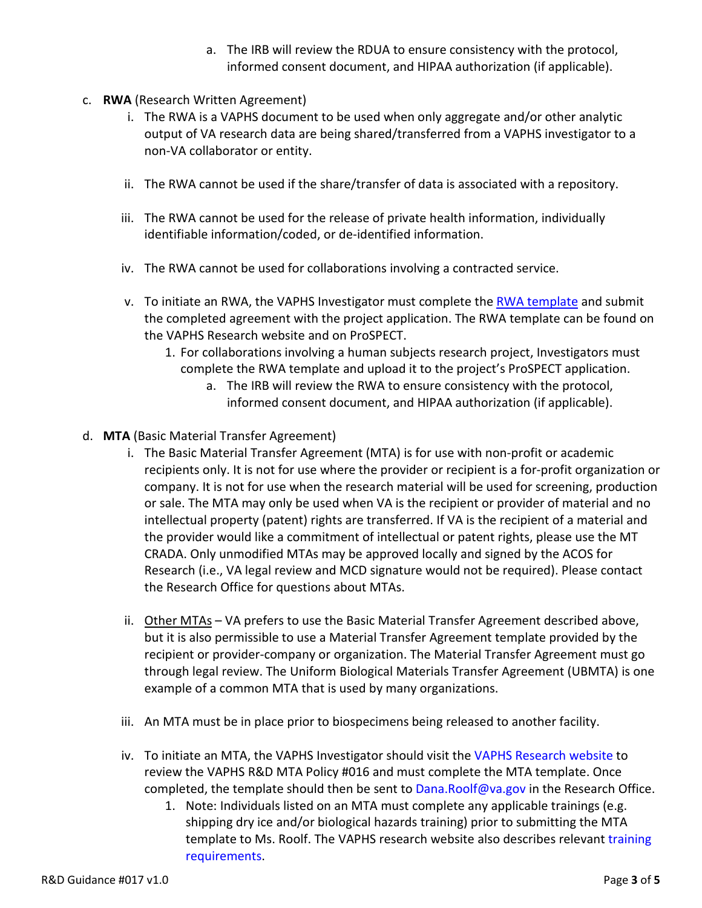- a. The IRB will review the RDUA to ensure consistency with the protocol, informed consent document, and HIPAA authorization (if applicable).
- c. **RWA** (Research Written Agreement)
	- i. The RWA is a VAPHS document to be used when only aggregate and/or other analytic output of VA research data are being shared/transferred from a VAPHS investigator to a non-VA collaborator or entity.
	- ii. The RWA cannot be used if the share/transfer of data is associated with a repository.
	- iii. The RWA cannot be used for the release of private health information, individually identifiable information/coded, or de-identified information.
	- iv. The RWA cannot be used for collaborations involving a contracted service.
	- v. To initiate an RWA, the VAPHS Investigator must complete the [RWA template](http://vhapthsqlirb/VAIRBProd/Doc/0/4RFE8B1GG6KK39KQO590IQ6R18/RWA_v1.0_RD%20App%206.27.17_prospect.pdf) and submit the completed agreement with the project application. The RWA template can be found on the VAPHS Research website and on ProSPECT.
		- 1. For collaborations involving a human subjects research project, Investigators must complete the RWA template and upload it to the project's ProSPECT application.
			- a. The IRB will review the RWA to ensure consistency with the protocol, informed consent document, and HIPAA authorization (if applicable).
- d. **MTA** (Basic Material Transfer Agreement)
	- i. The Basic Material Transfer Agreement (MTA) is for use with non-profit or academic recipients only. It is not for use where the provider or recipient is a for-profit organization or company. It is not for use when the research material will be used for screening, production or sale. The MTA may only be used when VA is the recipient or provider of material and no intellectual property (patent) rights are transferred. If VA is the recipient of a material and the provider would like a commitment of intellectual or patent rights, please use the MT CRADA. Only unmodified MTAs may be approved locally and signed by the ACOS for Research (i.e., VA legal review and MCD signature would not be required). Please contact the Research Office for questions about MTAs.
	- ii. Other MTAs VA prefers to use the Basic Material Transfer Agreement described above, but it is also permissible to use a Material Transfer Agreement template provided by the recipient or provider-company or organization. The Material Transfer Agreement must go through legal review. The Uniform Biological Materials Transfer Agreement (UBMTA) is one example of a common MTA that is used by many organizations.
	- iii. An MTA must be in place prior to biospecimens being released to another facility.
	- iv. To initiate an MTA, the VAPHS Investigator should visit th[e VAPHS Research website](http://www.pittsburgh.va.gov/Research) to review the VAPHS R&D MTA Policy #016 and must complete the MTA template. Once completed, the template should then be sent to [Dana.Roolf@va.gov](mailto:Dana.Roolf@va.gov) in the Research Office.
		- 1. Note: Individuals listed on an MTA must complete any applicable trainings (e.g. shipping dry ice and/or biological hazards training) prior to submitting the MTA template to Ms. Roolf. The VAPHS research website also describes relevant [training](https://www.pittsburgh.va.gov/Research/docs/Training-Requirements.pdf)  [requirements.](https://www.pittsburgh.va.gov/Research/docs/Training-Requirements.pdf)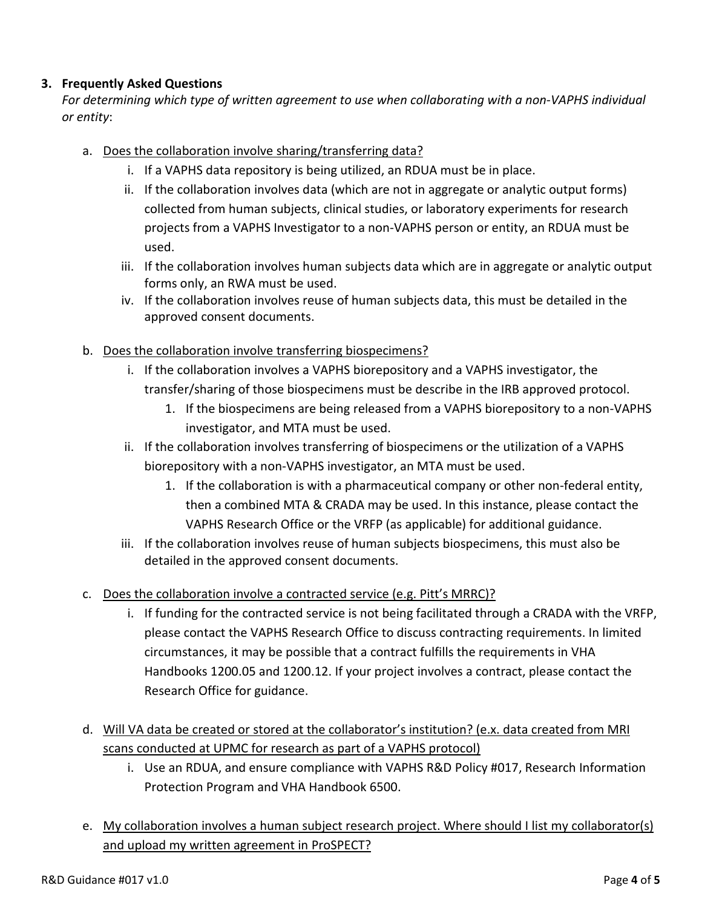## **3. Frequently Asked Questions**

*For determining which type of written agreement to use when collaborating with a non-VAPHS individual or entity*:

- a. Does the collaboration involve sharing/transferring data?
	- i. If a VAPHS data repository is being utilized, an RDUA must be in place.
	- ii. If the collaboration involves data (which are not in aggregate or analytic output forms) collected from human subjects, clinical studies, or laboratory experiments for research projects from a VAPHS Investigator to a non-VAPHS person or entity, an RDUA must be used.
	- iii. If the collaboration involves human subjects data which are in aggregate or analytic output forms only, an RWA must be used.
	- iv. If the collaboration involves reuse of human subjects data, this must be detailed in the approved consent documents.
- b. Does the collaboration involve transferring biospecimens?
	- i. If the collaboration involves a VAPHS biorepository and a VAPHS investigator, the transfer/sharing of those biospecimens must be describe in the IRB approved protocol.
		- 1. If the biospecimens are being released from a VAPHS biorepository to a non-VAPHS investigator, and MTA must be used.
	- ii. If the collaboration involves transferring of biospecimens or the utilization of a VAPHS biorepository with a non-VAPHS investigator, an MTA must be used.
		- 1. If the collaboration is with a pharmaceutical company or other non-federal entity, then a combined MTA & CRADA may be used. In this instance, please contact the VAPHS Research Office or the VRFP (as applicable) for additional guidance.
	- iii. If the collaboration involves reuse of human subjects biospecimens, this must also be detailed in the approved consent documents.
- c. Does the collaboration involve a contracted service (e.g. Pitt's MRRC)?
	- i. If funding for the contracted service is not being facilitated through a CRADA with the VRFP, please contact the VAPHS Research Office to discuss contracting requirements. In limited circumstances, it may be possible that a contract fulfills the requirements in VHA Handbooks 1200.05 and 1200.12. If your project involves a contract, please contact the Research Office for guidance.
- d. Will VA data be created or stored at the collaborator's institution? (e.x. data created from MRI scans conducted at UPMC for research as part of a VAPHS protocol)
	- i. Use an RDUA, and ensure compliance with VAPHS R&D Policy #017, Research Information Protection Program and VHA Handbook 6500.
- e. My collaboration involves a human subject research project. Where should I list my collaborator(s) and upload my written agreement in ProSPECT?